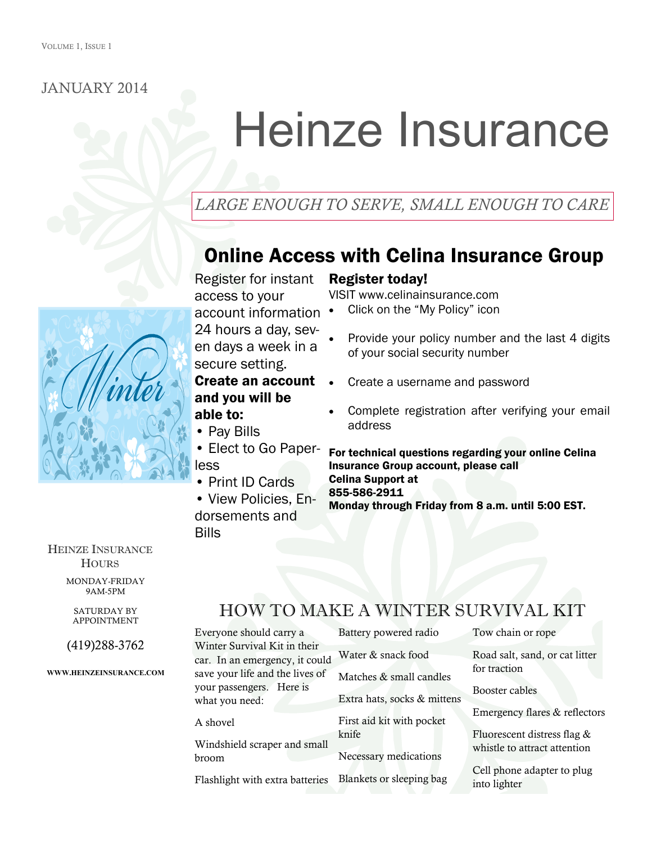#### JANUARY 2014

# Heinze Insurance

## *LARGE ENOUGH TO SERVE, SMALL ENOUGH TO CARE*

# Online Access with Celina Insurance Group

Register for instant access to your account information 24 hours a day, seven days a week in a secure setting.

#### Create an account and you will be able to:

- Pay Bills
- Elect to Go Paperless
- Print ID Cards
- View Policies, Endorsements and Bills

#### Register today!

VISIT www.celinainsurance.com

- Click on the "My Policy" icon
- Provide your policy number and the last 4 digits of your social security number
- Create a username and password
- Complete registration after verifying your email address

For technical questions regarding your online Celina Insurance Group account, please call Celina Support at 855-586-2911 Monday through Friday from 8 a.m. until 5:00 EST.

HEINZE INSURANCE **HOURS** 

> MONDAY-FRIDAY 9AM-5PM

SATURDAY BY APPOINTMENT

(419)288-3762

**WWW.HEINZEINSURANCE.COM**

# HOW TO MAKE A WINTER SURVIVAL KIT

Everyone should carry a Winter Survival Kit in their car. In an emergency, it could save your life and the lives of your passengers. Here is what you need:

A shovel

Windshield scraper and small broom

Flashlight with extra batteries

Battery powered radio Water & snack food

Matches & small candles Extra hats, socks & mittens

First aid kit with pocket knife

Necessary medications

Blankets or sleeping bag

Tow chain or rope

Road salt, sand, or cat litter for traction

Booster cables

Emergency flares & reflectors

Fluorescent distress flag & whistle to attract attention

Cell phone adapter to plug into lighter